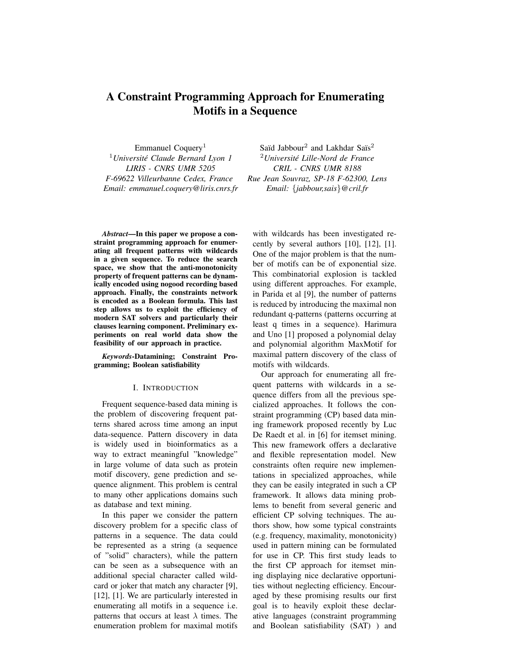# A Constraint Programming Approach for Enumerating Motifs in a Sequence

Emmanuel Coquery<sup>1</sup> <sup>1</sup>*Universite Claude Bernard Lyon 1 ´ LIRIS - CNRS UMR 5205 F-69622 Villeurbanne Cedex, France Email: emmanuel.coquery@liris.cnrs.fr*

Saïd Jabbour<sup>2</sup> and Lakhdar Saïs<sup>2</sup> <sup>2</sup>*Universite Lille-Nord de France ´ CRIL - CNRS UMR 8188 Rue Jean Souvraz, SP-18 F-62300, Lens Email:* {*jabbour,sais*}*@cril.fr*

*Abstract*—In this paper we propose a constraint programming approach for enumerating all frequent patterns with wildcards in a given sequence. To reduce the search space, we show that the anti-monotonicity property of frequent patterns can be dynamically encoded using nogood recording based approach. Finally, the constraints network is encoded as a Boolean formula. This last step allows us to exploit the efficiency of modern SAT solvers and particularly their clauses learning component. Preliminary experiments on real world data show the feasibility of our approach in practice.

*Keywords*-Datamining; Constraint Programming; Boolean satisfiability

#### I. INTRODUCTION

Frequent sequence-based data mining is the problem of discovering frequent patterns shared across time among an input data-sequence. Pattern discovery in data is widely used in bioinformatics as a way to extract meaningful "knowledge" in large volume of data such as protein motif discovery, gene prediction and sequence alignment. This problem is central to many other applications domains such as database and text mining.

In this paper we consider the pattern discovery problem for a specific class of patterns in a sequence. The data could be represented as a string (a sequence of "solid" characters), while the pattern can be seen as a subsequence with an additional special character called wildcard or joker that match any character [9], [12], [1]. We are particularly interested in enumerating all motifs in a sequence i.e. patterns that occurs at least  $\lambda$  times. The enumeration problem for maximal motifs with wildcards has been investigated recently by several authors [10], [12], [1]. One of the major problem is that the number of motifs can be of exponential size. This combinatorial explosion is tackled using different approaches. For example, in Parida et al [9], the number of patterns is reduced by introducing the maximal non redundant q-patterns (patterns occurring at least q times in a sequence). Harimura and Uno [1] proposed a polynomial delay and polynomial algorithm MaxMotif for maximal pattern discovery of the class of motifs with wildcards.

Our approach for enumerating all frequent patterns with wildcards in a sequence differs from all the previous specialized approaches. It follows the constraint programming (CP) based data mining framework proposed recently by Luc De Raedt et al. in [6] for itemset mining. This new framework offers a declarative and flexible representation model. New constraints often require new implementations in specialized approaches, while they can be easily integrated in such a CP framework. It allows data mining problems to benefit from several generic and efficient CP solving techniques. The authors show, how some typical constraints (e.g. frequency, maximality, monotonicity) used in pattern mining can be formulated for use in CP. This first study leads to the first CP approach for itemset mining displaying nice declarative opportunities without neglecting efficiency. Encouraged by these promising results our first goal is to heavily exploit these declarative languages (constraint programming and Boolean satisfiability (SAT) ) and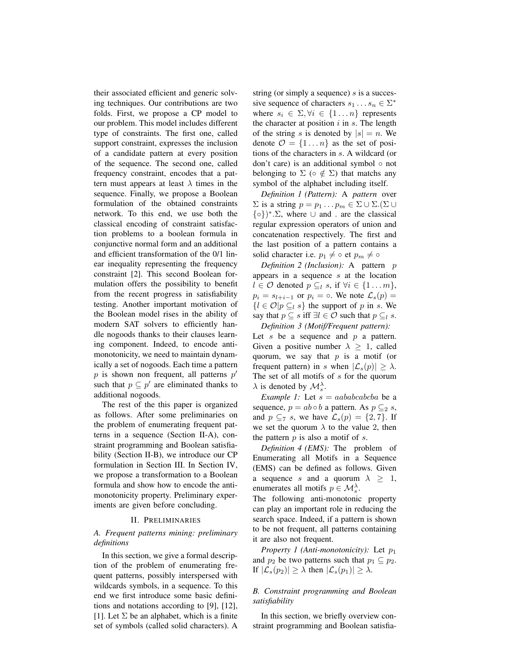their associated efficient and generic solving techniques. Our contributions are two folds. First, we propose a CP model to our problem. This model includes different type of constraints. The first one, called support constraint, expresses the inclusion of a candidate pattern at every position of the sequence. The second one, called frequency constraint, encodes that a pattern must appears at least  $\lambda$  times in the sequence. Finally, we propose a Boolean formulation of the obtained constraints network. To this end, we use both the classical encoding of constraint satisfaction problems to a boolean formula in conjunctive normal form and an additional and efficient transformation of the 0/1 linear inequality representing the frequency constraint [2]. This second Boolean formulation offers the possibility to benefit from the recent progress in satisfiability testing. Another important motivation of the Boolean model rises in the ability of modern SAT solvers to efficiently handle nogoods thanks to their clauses learning component. Indeed, to encode antimonotonicity, we need to maintain dynamically a set of nogoods. Each time a pattern  $p$  is shown non frequent, all patterns  $p'$ such that  $p \subseteq p'$  are eliminated thanks to additional nogoods.

The rest of the this paper is organized as follows. After some preliminaries on the problem of enumerating frequent patterns in a sequence (Section II-A), constraint programming and Boolean satisfiability (Section II-B), we introduce our CP formulation in Section III. In Section IV, we propose a transformation to a Boolean formula and show how to encode the antimonotonicity property. Preliminary experiments are given before concluding.

#### II. PRELIMINARIES

# *A. Frequent patterns mining: preliminary definitions*

In this section, we give a formal description of the problem of enumerating frequent patterns, possibly interspersed with wildcards symbols, in a sequence. To this end we first introduce some basic definitions and notations according to [9], [12], [1]. Let  $\Sigma$  be an alphabet, which is a finite set of symbols (called solid characters). A string (or simply a sequence)  $s$  is a successive sequence of characters  $s_1 \dots s_n \in \Sigma^*$ where  $s_i \in \Sigma, \forall i \in \{1 \dots n\}$  represents the character at position  $i$  in  $s$ . The length of the string s is denoted by  $|s| = n$ . We denote  $\mathcal{O} = \{1 \dots n\}$  as the set of positions of the characters in s. A wildcard (or don't care) is an additional symbol ◦ not belonging to  $\Sigma$  ( $\circ \notin \Sigma$ ) that matchs any symbol of the alphabet including itself.

*Definition 1 (Pattern):* A *pattern* over  $\Sigma$  is a string  $p = p_1 \dots p_m \in \Sigma \cup \Sigma.(\Sigma \cup$  $\{\circ\}$ <sup>\*</sup>.  $\Sigma$ , where  $\cup$  and . are the classical regular expression operators of union and concatenation respectively. The first and the last position of a pattern contains a solid character i.e.  $p_1 \neq \circ$  et  $p_m \neq \circ$ 

*Definition 2 (Inclusion):* A pattern *p* appears in a sequence s at the location  $l \in \mathcal{O}$  denoted  $p \subseteq_l s$ , if  $\forall i \in \{1 \dots m\},\$  $p_i = s_{l+i-1}$  or  $p_i = \circ$ . We note  $\mathcal{L}_s(p) =$  ${l \in \mathcal{O} | p \subseteq_l s}$  the support of p in s. We say that  $p \subseteq s$  iff  $\exists l \in \mathcal{O}$  such that  $p \subseteq_l s$ .

*Definition 3 (Motif/Frequent pattern):* Let  $s$  be a sequence and  $p$  a pattern. Given a positive number  $\lambda \geq 1$ , called quorum, we say that  $p$  is a motif (or frequent pattern) in s when  $|\mathcal{L}_s(p)| > \lambda$ . The set of all motifs of  $s$  for the quorum  $\lambda$  is denoted by  $\mathcal{M}_{s}^{\lambda}$ .

*Example 1:* Let  $s = aababcabca$  be a sequence,  $p = ab \circ b$  a pattern. As  $p \subseteq 2 s$ , and  $p \subseteq_7 s$ , we have  $\mathcal{L}_s(p) = \{2, 7\}$ . If we set the quorum  $\lambda$  to the value 2, then the pattern  $p$  is also a motif of  $s$ .

*Definition 4 (EMS):* The problem of Enumerating all Motifs in a Sequence (EMS) can be defined as follows. Given a sequence s and a quorum  $\lambda \geq 1$ , enumerates all motifs  $p \in \mathcal{M}_s^{\lambda}$ .

The following anti-monotonic property can play an important role in reducing the search space. Indeed, if a pattern is shown to be not frequent, all patterns containing it are also not frequent.

*Property 1 (Anti-monotonicity):* Let  $p_1$ and  $p_2$  be two patterns such that  $p_1 \subseteq p_2$ . If  $|\mathcal{L}_{s}(p_2)| \geq \lambda$  then  $|\mathcal{L}_{s}(p_1)| \geq \lambda$ .

# *B. Constraint programming and Boolean satisfiability*

In this section, we briefly overview constraint programming and Boolean satisfia-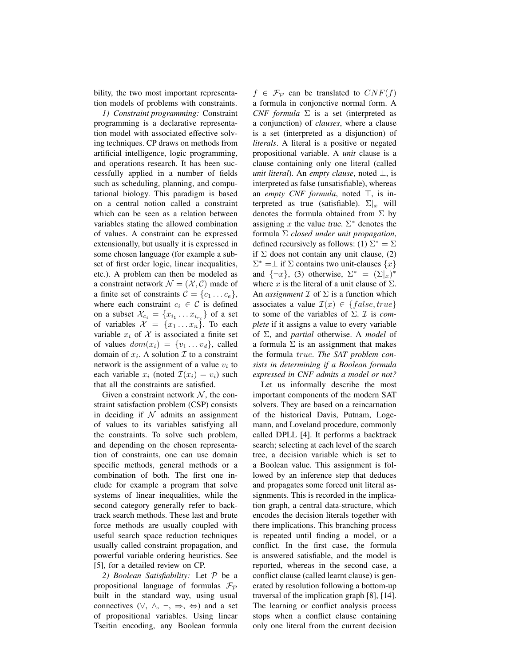bility, the two most important representation models of problems with constraints.

*1) Constraint programming:* Constraint programming is a declarative representation model with associated effective solving techniques. CP draws on methods from artificial intelligence, logic programming, and operations research. It has been successfully applied in a number of fields such as scheduling, planning, and computational biology. This paradigm is based on a central notion called a constraint which can be seen as a relation between variables stating the allowed combination of values. A constraint can be expressed extensionally, but usually it is expressed in some chosen language (for example a subset of first order logic, linear inequalities, etc.). A problem can then be modeled as a constraint network  $\mathcal{N} = (\mathcal{X}, \mathcal{C})$  made of a finite set of constraints  $C = \{c_1 \dots c_e\},\$ where each constraint  $c_i \in \mathcal{C}$  is defined on a subset  $\mathcal{X}_{c_i} = \{x_{i_1} \dots x_{i_{r_i}}\}$  of a set of variables  $\mathcal{X} = \{x_1 \dots x_n\}$ . To each variable  $x_i$  of X is associated a finite set of values  $dom(x_i) = \{v_1 \dots v_d\}$ , called domain of  $x_i$ . A solution  $\mathcal I$  to a constraint network is the assignment of a value  $v_i$  to each variable  $x_i$  (noted  $\mathcal{I}(x_i) = v_i$ ) such that all the constraints are satisfied.

Given a constraint network  $N$ , the constraint satisfaction problem (CSP) consists in deciding if  $\mathcal N$  admits an assignment of values to its variables satisfying all the constraints. To solve such problem, and depending on the chosen representation of constraints, one can use domain specific methods, general methods or a combination of both. The first one include for example a program that solve systems of linear inequalities, while the second category generally refer to backtrack search methods. These last and brute force methods are usually coupled with useful search space reduction techniques usually called constraint propagation, and powerful variable ordering heuristics. See [5], for a detailed review on CP.

*2) Boolean Satisfiability:* Let P be a propositional language of formulas  $\mathcal{F}_{\mathcal{P}}$ built in the standard way, using usual connectives  $(\vee, \wedge, \neg, \Rightarrow, \Leftrightarrow)$  and a set of propositional variables. Using linear Tseitin encoding, any Boolean formula  $f \in \mathcal{F}_{\mathcal{P}}$  can be translated to  $CNF(f)$ a formula in conjonctive normal form. A *CNF formula*  $\Sigma$  is a set (interpreted as a conjunction) of *clauses*, where a clause is a set (interpreted as a disjunction) of *literals*. A literal is a positive or negated propositional variable. A *unit* clause is a clause containing only one literal (called *unit literal*). An *empty clause*, noted ⊥, is interpreted as false (unsatisfiable), whereas an *empty CNF formula*, noted  $\top$ , is interpreted as true (satisfiable).  $\Sigma|_x$  will denotes the formula obtained from  $\Sigma$  by assigning x the value true.  $\Sigma^*$  denotes the formula Σ *closed under unit propagation*, defined recursively as follows: (1)  $\Sigma^* = \Sigma$ if  $\Sigma$  does not contain any unit clause, (2)  $\Sigma^* = \bot$  if  $\Sigma$  contains two unit-clauses  $\{x\}$ and  $\{\neg x\}$ , (3) otherwise,  $\Sigma^* = (\Sigma|_x)^*$ where x is the literal of a unit clause of  $\Sigma$ . An *assignment*  $\mathcal I$  of  $\Sigma$  is a function which associates a value  $\mathcal{I}(x) \in \{false, true\}$ to some of the variables of Σ. I is *complete* if it assigns a value to every variable of Σ, and *partial* otherwise. A *model* of a formula  $\Sigma$  is an assignment that makes the formula true. *The SAT problem consists in determining if a Boolean formula expressed in CNF admits a model or not?*

Let us informally describe the most important components of the modern SAT solvers. They are based on a reincarnation of the historical Davis, Putnam, Logemann, and Loveland procedure, commonly called DPLL [4]. It performs a backtrack search; selecting at each level of the search tree, a decision variable which is set to a Boolean value. This assignment is followed by an inference step that deduces and propagates some forced unit literal assignments. This is recorded in the implication graph, a central data-structure, which encodes the decision literals together with there implications. This branching process is repeated until finding a model, or a conflict. In the first case, the formula is answered satisfiable, and the model is reported, whereas in the second case, a conflict clause (called learnt clause) is generated by resolution following a bottom-up traversal of the implication graph [8], [14]. The learning or conflict analysis process stops when a conflict clause containing only one literal from the current decision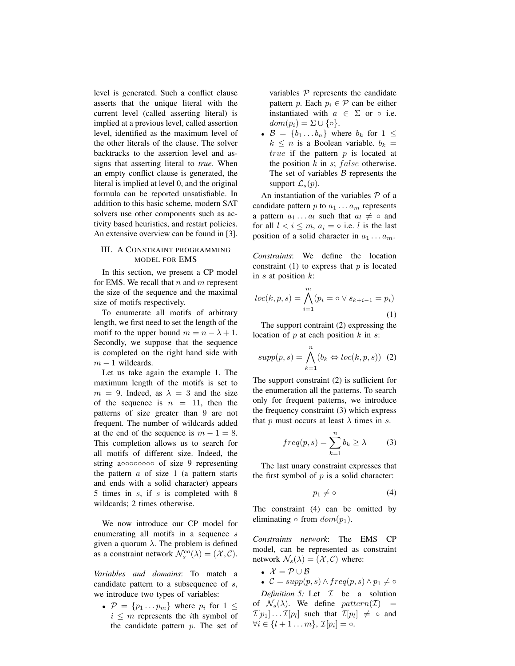level is generated. Such a conflict clause asserts that the unique literal with the current level (called asserting literal) is implied at a previous level, called assertion level, identified as the maximum level of the other literals of the clause. The solver backtracks to the assertion level and assigns that asserting literal to *true*. When an empty conflict clause is generated, the literal is implied at level 0, and the original formula can be reported unsatisfiable. In addition to this basic scheme, modern SAT solvers use other components such as activity based heuristics, and restart policies. An extensive overview can be found in [3].

# III. A CONSTRAINT PROGRAMMING MODEL FOR EMS

In this section, we present a CP model for EMS. We recall that  $n$  and  $m$  represent the size of the sequence and the maximal size of motifs respectively.

To enumerate all motifs of arbitrary length, we first need to set the length of the motif to the upper bound  $m = n - \lambda + 1$ . Secondly, we suppose that the sequence is completed on the right hand side with  $m - 1$  wildcards.

Let us take again the example 1. The maximum length of the motifs is set to  $m = 9$ . Indeed, as  $\lambda = 3$  and the size of the sequence is  $n = 11$ , then the patterns of size greater than 9 are not frequent. The number of wildcards added at the end of the sequence is  $m - 1 = 8$ . This completion allows us to search for all motifs of different size. Indeed, the string a◦◦◦◦◦◦◦◦ of size 9 representing the pattern  $a$  of size 1 (a pattern starts and ends with a solid character) appears 5 times in  $s$ , if  $s$  is completed with 8 wildcards; 2 times otherwise.

We now introduce our CP model for enumerating all motifs in a sequence s given a quorum  $\lambda$ . The problem is defined as a constraint network  $\mathcal{N}_s^{co}(\lambda) = (\mathcal{X}, \mathcal{C}).$ 

*Variables and domains*: To match a candidate pattern to a subsequence of  $s$ , we introduce two types of variables:

•  $\mathcal{P} = \{p_1 \dots p_m\}$  where  $p_i$  for  $1 \leq$  $i \leq m$  represents the *i*th symbol of the candidate pattern p. The set of variables  $P$  represents the candidate pattern p. Each  $p_i \in \mathcal{P}$  can be either instantiated with  $a \in \Sigma$  or  $\circ$  i.e.  $dom(p_i) = \Sigma \cup \{\circ\}.$ 

•  $\mathcal{B} = \{b_1 \ldots b_n\}$  where  $b_k$  for  $1 \leq$  $k \leq n$  is a Boolean variable.  $b_k =$ true if the pattern  $p$  is located at the position  $k$  in  $s$ ;  $false$  otherwise. The set of variables  $\beta$  represents the support  $\mathcal{L}_s(p)$ .

An instantiation of the variables  $P$  of a candidate pattern p to  $a_1 \ldots a_m$  represents a pattern  $a_1 \ldots a_l$  such that  $a_l \neq \circ$  and for all  $l < i \leq m$ ,  $a_i = \circ$  i.e. l is the last position of a solid character in  $a_1 \ldots a_m$ .

*Constraints*: We define the location constraint (1) to express that  $p$  is located in  $s$  at position  $k$ :

$$
loc(k, p, s) = \bigwedge_{i=1}^{m} (p_i = \circ \vee s_{k+i-1} = p_i)
$$
\n(1)

The support contraint (2) expressing the location of  $p$  at each position  $k$  in  $s$ :

$$
supp(p,s) = \bigwedge_{k=1}^{n} (b_k \Leftrightarrow loc(k,p,s)) \tag{2}
$$

The support constraint (2) is sufficient for the enumeration all the patterns. To search only for frequent patterns, we introduce the frequency constraint (3) which express that p must occurs at least  $\lambda$  times in s.

$$
freq(p, s) = \sum_{k=1}^{n} b_k \ge \lambda \tag{3}
$$

The last unary constraint expresses that the first symbol of  $p$  is a solid character:

$$
p_1 \neq \circ \tag{4}
$$

The constraint (4) can be omitted by eliminating  $\circ$  from  $dom(p_1)$ .

*Constraints network*: The EMS CP model, can be represented as constraint network  $\mathcal{N}_s(\lambda) = (\mathcal{X}, \mathcal{C})$  where:

- $\mathcal{X} = \mathcal{P} \cup \mathcal{B}$
- $C = supp(p, s) \wedge freq(p, s) \wedge p_1 \neq \circ$

*Definition 5:* Let I be a solution of  $\mathcal{N}_s(\lambda)$ . We define pattern(*T*)  $\mathcal{I}[p_1] \ldots \mathcal{I}[p_l]$  such that  $\mathcal{I}[p_l] \neq \circ$  and  $\forall i \in \{l+1 \ldots m\}, \mathcal{I}[p_i] = \circ.$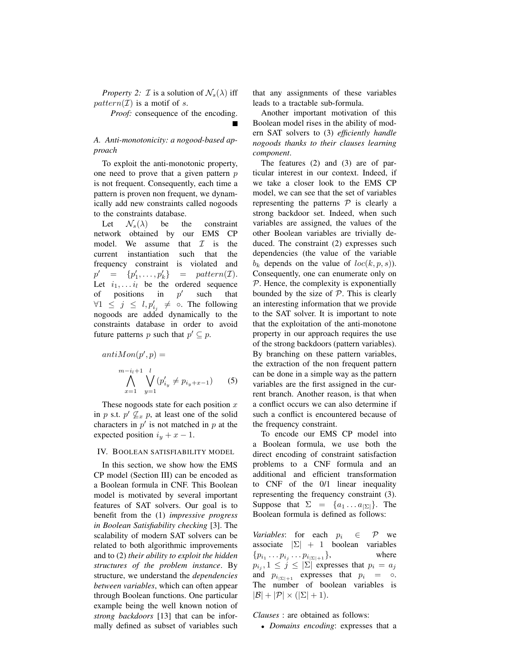*Property 2: T* is a solution of  $\mathcal{N}_s(\lambda)$  iff  $pattern(\mathcal{I})$  is a motif of s.

*Proof:* consequence of the encoding.

## *A. Anti-monotonicity: a nogood-based approach*

To exploit the anti-monotonic property, one need to prove that a given pattern  $p$ is not frequent. Consequently, each time a pattern is proven non frequent, we dynamically add new constraints called nogoods to the constraints database.

Let  $\mathcal{N}_s(\lambda)$  be the constraint network obtained by our EMS CP model. We assume that  $\mathcal I$  is the current instantiation such that the frequency constraint is violated and  $p' = \{p'_1, \ldots, p'_k\}$  $= pattern(\mathcal{I}).$ Let  $i_1, \ldots i_l$  be the ordered sequence of positions in  $p'$ such that  $\forall 1 \leq j \leq l, p'_{i_j} \neq \infty$ . The following nogoods are added dynamically to the constraints database in order to avoid future patterns p such that  $p' \subseteq p$ .

$$
antiMon(p', p) =
$$
  
\n
$$
\bigwedge_{x=1}^{m-i_l+1} \bigvee_{y=1}^{l} (p'_{i_y} \neq p_{i_y + x-1})
$$
 (5)

These nogoods state for each position  $x$ in p s.t.  $p' \nsubseteq_x p$ , at least one of the solid characters in  $p'$  is not matched in  $p$  at the expected position  $i_y + x - 1$ .

#### IV. BOOLEAN SATISFIABILITY MODEL

In this section, we show how the EMS CP model (Section III) can be encoded as a Boolean formula in CNF. This Boolean model is motivated by several important features of SAT solvers. Our goal is to benefit from the (1) *impressive progress in Boolean Satisfiability checking* [3]. The scalability of modern SAT solvers can be related to both algorithmic improvements and to (2) *their ability to exploit the hidden structures of the problem instance*. By structure, we understand the *dependencies between variables*, which can often appear through Boolean functions. One particular example being the well known notion of *strong backdoors* [13] that can be informally defined as subset of variables such that any assignments of these variables leads to a tractable sub-formula.

Another important motivation of this Boolean model rises in the ability of modern SAT solvers to (3) *efficiently handle nogoods thanks to their clauses learning component*.

The features (2) and (3) are of particular interest in our context. Indeed, if we take a closer look to the EMS CP model, we can see that the set of variables representing the patterns  $P$  is clearly a strong backdoor set. Indeed, when such variables are assigned, the values of the other Boolean variables are trivially deduced. The constraint (2) expresses such dependencies (the value of the variable  $b_k$  depends on the value of  $loc(k, p, s)$ ). Consequently, one can enumerate only on  $P$ . Hence, the complexity is exponentially bounded by the size of  $P$ . This is clearly an interesting information that we provide to the SAT solver. It is important to note that the exploitation of the anti-monotone property in our approach requires the use of the strong backdoors (pattern variables). By branching on these pattern variables, the extraction of the non frequent pattern can be done in a simple way as the pattern variables are the first assigned in the current branch. Another reason, is that when a conflict occurs we can also determine if such a conflict is encountered because of the frequency constraint.

To encode our EMS CP model into a Boolean formula, we use both the direct encoding of constraint satisfaction problems to a CNF formula and an additional and efficient transformation to CNF of the 0/1 linear inequality representing the frequency constraint (3). Suppose that  $\Sigma = \{a_1 \dots a_{|\Sigma|}\}\.$  The Boolean formula is defined as follows:

*Variables*: for each  $p_i \in \mathcal{P}$  we associate  $|\Sigma| + 1$  boolean variables  $\{p_{i_1} \dots p_{i_j} \dots p_{i_{|\Sigma|+1}}\},\qquad\qquad\text{where}$  $p_{i_j}, 1 \leq j \leq |\Sigma|$  expresses that  $p_i = a_j$ and  $p_{i_{\vert\Sigma\vert+1}}$  expresses that  $p_i = \circ$ . The number of boolean variables is  $|\mathcal{B}| + |\mathcal{P}| \times (|\Sigma| + 1).$ 

*Clauses* : are obtained as follows:

• *Domains encoding*: expresses that a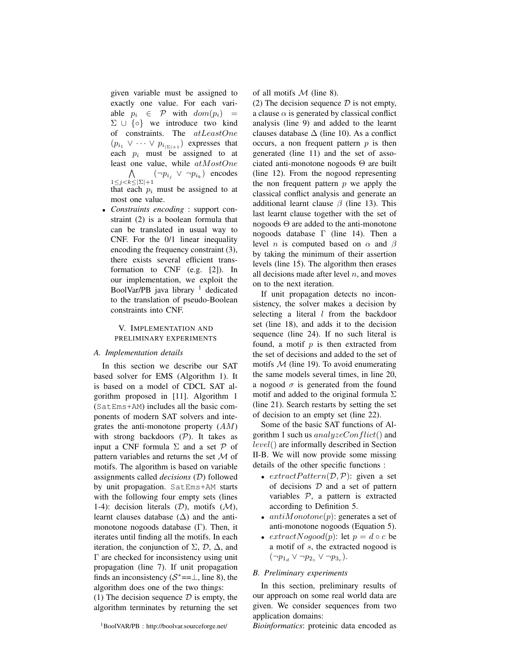given variable must be assigned to exactly one value. For each variable  $p_i \in \mathcal{P}$  with  $dom(p_i)$  = Σ ∪ {o} we introduce two kind of constraints. The atLeastOne  $(p_{i_1} \vee \cdots \vee p_{i_{|\Sigma|+1}})$  expresses that each  $p_i$  must be assigned to at least one value, while atMostOne  $\wedge$  $\bigwedge_{1 \leq j < k \leq |\Sigma|+1} (\neg p_{i_j} \lor \neg p_{i_k})$  encodes that each  $p_i$  must be assigned to at

most one value. • *Constraints encoding* : support constraint (2) is a boolean formula that can be translated in usual way to CNF. For the 0/1 linear inequality encoding the frequency constraint (3), there exists several efficient transformation to CNF (e.g. [2]). In our implementation, we exploit the BoolVar/PB java library<sup>1</sup> dedicated to the translation of pseudo-Boolean constraints into CNF.

## V. IMPLEMENTATION AND PRELIMINARY EXPERIMENTS

## *A. Implementation details*

In this section we describe our SAT based solver for EMS (Algorithm 1). It is based on a model of CDCL SAT algorithm proposed in [11]. Algorithm 1 (SatEms+AM) includes all the basic components of modern SAT solvers and integrates the anti-monotone property  $(AM)$ with strong backdoors  $(P)$ . It takes as input a CNF formula  $\Sigma$  and a set  $\mathcal P$  of pattern variables and returns the set  $\mathcal M$  of motifs. The algorithm is based on variable assignments called *decisions* (D) followed by unit propagation. SatEms+AM starts with the following four empty sets (lines 1-4): decision literals  $(D)$ , motifs  $(M)$ , learnt clauses database  $(\Delta)$  and the antimonotone nogoods database (Γ). Then, it iterates until finding all the motifs. In each iteration, the conjunction of  $\Sigma$ ,  $\mathcal{D}$ ,  $\Delta$ , and Γ are checked for inconsistency using unit propagation (line 7). If unit propagation finds an inconsistency ( $S^* = \perp$ , line 8), the algorithm does one of the two things:

(1) The decision sequence  $\mathcal D$  is empty, the algorithm terminates by returning the set of all motifs  $M$  (line 8).

(2) The decision sequence  $\mathcal D$  is not empty, a clause  $\alpha$  is generated by classical conflict analysis (line 9) and added to the learnt clauses database  $\Delta$  (line 10). As a conflict occurs, a non frequent pattern  $p$  is then generated (line 11) and the set of associated anti-monotone nogoods Θ are built (line 12). From the nogood representing the non frequent pattern  $p$  we apply the classical conflict analysis and generate an additional learnt clause  $\beta$  (line 13). This last learnt clause together with the set of nogoods  $\Theta$  are added to the anti-monotone nogoods database Γ (line 14). Then a level *n* is computed based on  $\alpha$  and  $\beta$ by taking the minimum of their assertion levels (line 15). The algorithm then erases all decisions made after level  $n$ , and moves on to the next iteration.

If unit propagation detects no inconsistency, the solver makes a decision by selecting a literal  $l$  from the backdoor set (line 18), and adds it to the decision sequence (line 24). If no such literal is found, a motif  $p$  is then extracted from the set of decisions and added to the set of motifs  $M$  (line 19). To avoid enumerating the same models several times, in line 20, a nogood  $\sigma$  is generated from the found motif and added to the original formula  $\Sigma$ (line 21). Search restarts by setting the set of decision to an empty set (line 22).

Some of the basic SAT functions of Algorithm 1 such us  $analyzeConflict()$  and level() are informally described in Section II-B. We will now provide some missing details of the other specific functions :

- $extractPattern(D, P)$ : given a set of decisions  $D$  and a set of pattern variables  $P$ , a pattern is extracted according to Definition 5.
- $antiMonotone(p)$ : generates a set of anti-monotone nogoods (Equation 5).
- $extractNogood(p)$ : let  $p = d \circ c$  be a motif of s, the extracted nogood is  $(\neg p_{1_d} \lor \neg p_{2_o} \lor \neg p_{3_c}).$

### *B. Preliminary experiments*

In this section, preliminary results of our approach on some real world data are given. We consider sequences from two application domains:

*Bioinformatics*: proteinic data encoded as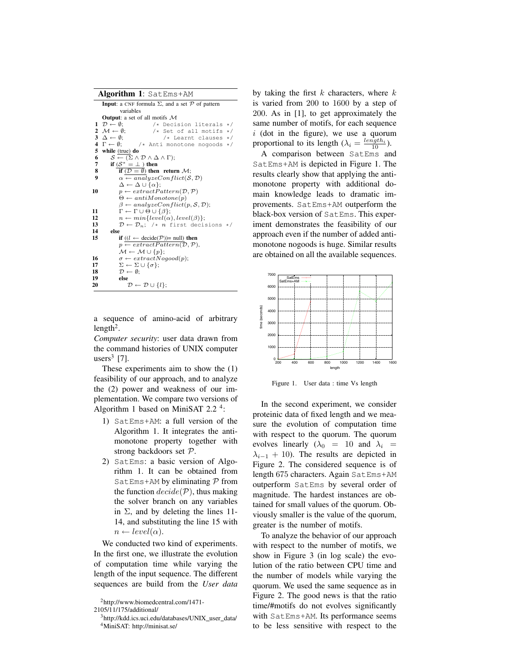|  |  | Algorithm 1: SatEms+AM |
|--|--|------------------------|
|--|--|------------------------|

|    | <b>Input:</b> a CNF formula $\Sigma$ , and a set $\mathcal P$ of pattern          |          |  |  |  |
|----|-----------------------------------------------------------------------------------|----------|--|--|--|
|    | variables                                                                         |          |  |  |  |
|    | <b>Output:</b> a set of all motifs $M$                                            |          |  |  |  |
|    | $1 \mathcal{D} \leftarrow \emptyset$ :<br>/* Decision literals                    | $\star/$ |  |  |  |
|    | 2 $\mathcal{M} \leftarrow \emptyset$ ;<br>/* Set of all motifs $*/$               |          |  |  |  |
|    | $3 \Delta \leftarrow \emptyset$ ;<br>$/*$ Learnt clauses */                       |          |  |  |  |
|    | $\mathbf{4} \quad \Gamma \leftarrow \emptyset$ ;<br>/* Anti monotone nogoods */   |          |  |  |  |
| 5  | while (true) do                                                                   |          |  |  |  |
| 6  | $\mathcal{S} \leftarrow (\Sigma \wedge \mathcal{D} \wedge \Delta \wedge \Gamma);$ |          |  |  |  |
| 7  | if $(S^* = \perp)$ then                                                           |          |  |  |  |
| 8  | if $(D = \emptyset)$ then return $\mathcal{M}$ ;                                  |          |  |  |  |
| 9  | $\alpha \leftarrow analyzeConflict(S, \mathcal{D})$                               |          |  |  |  |
|    | $\Delta \leftarrow \Delta \cup \{\alpha\};$                                       |          |  |  |  |
| 10 | $p \leftarrow extractPattern(\mathcal{D}, \mathcal{P})$                           |          |  |  |  |
|    | $\Theta \leftarrow antiMonotone(p)$                                               |          |  |  |  |
|    | $\beta \leftarrow analyzeConflict(p, \mathcal{S}, \mathcal{D});$                  |          |  |  |  |
| 11 | $\Gamma \leftarrow \Gamma \cup \Theta \cup \{\beta\};$                            |          |  |  |  |
| 12 | $n \leftarrow min\{level(\alpha), level(\beta)\};$                                |          |  |  |  |
| 13 | $\mathcal{D} \leftarrow \mathcal{D}_n;$ /* n first decisions */                   |          |  |  |  |
| 14 | else                                                                              |          |  |  |  |
| 15 | if $((l \leftarrow \text{decide}(\mathcal{P}))$ = null) then                      |          |  |  |  |
|    | $p \leftarrow extractPattern(\mathcal{D}, \mathcal{P}),$                          |          |  |  |  |
|    | $\mathcal{M} \leftarrow \mathcal{M} \cup \{p\};$                                  |          |  |  |  |
| 16 | $\sigma \leftarrow extractNogood(p);$                                             |          |  |  |  |
| 17 | $\Sigma \leftarrow \Sigma \cup {\sigma};$                                         |          |  |  |  |
| 18 | $\mathcal{D} \leftarrow \emptyset$ :                                              |          |  |  |  |
| 19 | else                                                                              |          |  |  |  |
| 20 | $\mathcal{D} \leftarrow \mathcal{D} \cup \{l\};$                                  |          |  |  |  |
|    |                                                                                   |          |  |  |  |

a sequence of amino-acid of arbitrary length<sup>2</sup>.

*Computer security*: user data drawn from the command histories of UNIX computer users<sup>3</sup> [7].

These experiments aim to show the (1) feasibility of our approach, and to analyze the (2) power and weakness of our implementation. We compare two versions of Algorithm 1 based on MiniSAT 2.2  $4$ :

- 1) SatEms+AM: a full version of the Algorithm 1. It integrates the antimonotone property together with strong backdoors set P.
- 2) SatEms: a basic version of Algorithm 1. It can be obtained from SatEms+AM by eliminating  $P$  from the function  $decide(\mathcal{P})$ , thus making the solver branch on any variables in  $\Sigma$ , and by deleting the lines 11-14, and substituting the line 15 with  $n \leftarrow level(\alpha).$

We conducted two kind of experiments. In the first one, we illustrate the evolution of computation time while varying the length of the input sequence. The different sequences are build from the *User data*

<sup>2</sup>http://www.biomedcentral.com/1471-

by taking the first  $k$  characters, where  $k$ is varied from 200 to 1600 by a step of 200. As in [1], to get approximately the same number of motifs, for each sequence  $i$  (dot in the figure), we use a quorum proportional to its length  $(\lambda_i = \frac{length_i}{10})$ .

A comparison between SatEms and SatEms+AM is depicted in Figure 1. The results clearly show that applying the antimonotone property with additional domain knowledge leads to dramatic improvements. SatEms+AM outperform the black-box version of SatEms. This experiment demonstrates the feasibility of our approach even if the number of added antimonotone nogoods is huge. Similar results are obtained on all the available sequences.



Figure 1. User data : time Vs length

In the second experiment, we consider proteinic data of fixed length and we measure the evolution of computation time with respect to the quorum. The quorum evolves linearly ( $\lambda_0$  = 10 and  $\lambda_i$  =  $\lambda_{i-1}$  + 10). The results are depicted in Figure 2. The considered sequence is of length 675 characters. Again SatEms+AM outperform SatEms by several order of magnitude. The hardest instances are obtained for small values of the quorum. Obviously smaller is the value of the quorum, greater is the number of motifs.

To analyze the behavior of our approach with respect to the number of motifs, we show in Figure 3 (in log scale) the evolution of the ratio between CPU time and the number of models while varying the quorum. We used the same sequence as in Figure 2. The good news is that the ratio time/#motifs do not evolves significantly with SatEms+AM. Its performance seems to be less sensitive with respect to the

<sup>2105/11/175/</sup>additional/

<sup>3</sup>http://kdd.ics.uci.edu/databases/UNIX\_user\_data/ <sup>4</sup>MiniSAT: http://minisat.se/